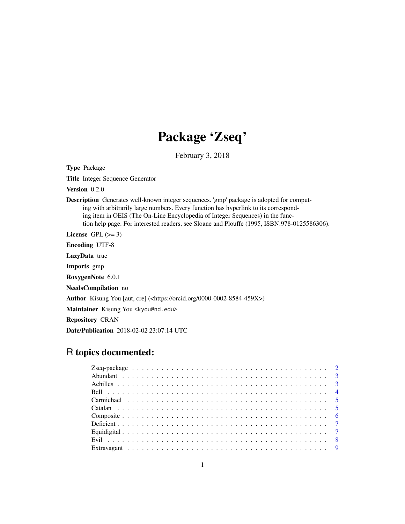## Package 'Zseq'

February 3, 2018

<span id="page-0-0"></span>Type Package

Title Integer Sequence Generator

Version 0.2.0

Description Generates well-known integer sequences. 'gmp' package is adopted for computing with arbitrarily large numbers. Every function has hyperlink to its corresponding item in OEIS (The On-Line Encyclopedia of Integer Sequences) in the function help page. For interested readers, see Sloane and Plouffe (1995, ISBN:978-0125586306).

License GPL  $(>= 3)$ 

Encoding UTF-8

LazyData true

Imports gmp

RoxygenNote 6.0.1

NeedsCompilation no

Author Kisung You [aut, cre] (<https://orcid.org/0000-0002-8584-459X>)

Maintainer Kisung You <kyou@nd.edu>

Repository CRAN

Date/Publication 2018-02-02 23:07:14 UTC

## R topics documented: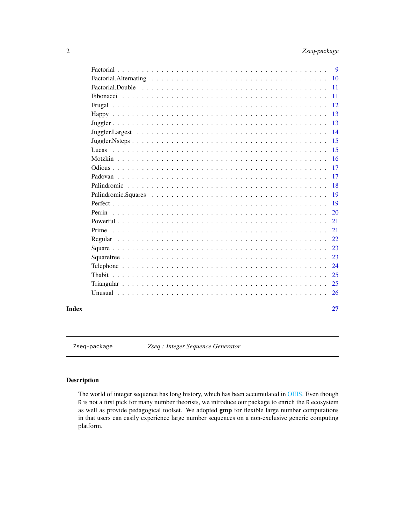<span id="page-1-0"></span>

| <b>9</b>                                                                                                            |
|---------------------------------------------------------------------------------------------------------------------|
| 10                                                                                                                  |
| Factorial.Double $\ldots \ldots \ldots \ldots \ldots \ldots \ldots \ldots \ldots \ldots \ldots \ldots \ldots$<br>11 |
| 11                                                                                                                  |
| 12.                                                                                                                 |
| 13                                                                                                                  |
| 13                                                                                                                  |
| 14                                                                                                                  |
| 15                                                                                                                  |
| 15                                                                                                                  |
| 16                                                                                                                  |
| 17                                                                                                                  |
| 17                                                                                                                  |
| 18                                                                                                                  |
| 19                                                                                                                  |
| 19                                                                                                                  |
| 20<br>Perrin                                                                                                        |
| 21                                                                                                                  |
| 21                                                                                                                  |
| 22.                                                                                                                 |
| 23                                                                                                                  |
| 23                                                                                                                  |
| 24                                                                                                                  |
| 25                                                                                                                  |
| 25                                                                                                                  |
| 26                                                                                                                  |
|                                                                                                                     |

#### **Index** [27](#page-26-0)

Zseq-package *Zseq : Integer Sequence Generator*

## Description

The world of integer sequence has long history, which has been accumulated in [OEIS.](#page-0-0) Even though R is not a first pick for many number theorists, we introduce our package to enrich the R ecosystem as well as provide pedagogical toolset. We adopted gmp for flexible large number computations in that users can easily experience large number sequences on a non-exclusive generic computing platform.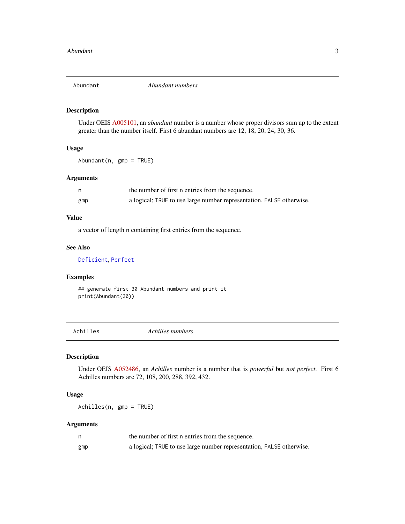<span id="page-2-1"></span><span id="page-2-0"></span>

Under OEIS [A005101,](https://oeis.org/A005101) an *abundant* number is a number whose proper divisors sum up to the extent greater than the number itself. First 6 abundant numbers are 12, 18, 20, 24, 30, 36.

#### Usage

Abundant(n, gmp = TRUE)

## Arguments

|     | the number of first n entries from the sequence.                     |
|-----|----------------------------------------------------------------------|
| gmp | a logical; TRUE to use large number representation, FALSE otherwise. |

#### Value

a vector of length n containing first entries from the sequence.

## See Also

[Deficient](#page-6-1), [Perfect](#page-18-1)

## Examples

## generate first 30 Abundant numbers and print it print(Abundant(30))

Achilles *Achilles numbers*

## Description

Under OEIS [A052486,](https://oeis.org/A052486) an *Achilles* number is a number that is *powerful* but *not perfect*. First 6 Achilles numbers are 72, 108, 200, 288, 392, 432.

#### Usage

Achilles(n, gmp = TRUE)

|     | the number of first n entries from the sequence.                     |
|-----|----------------------------------------------------------------------|
| gmp | a logical; TRUE to use large number representation, FALSE otherwise. |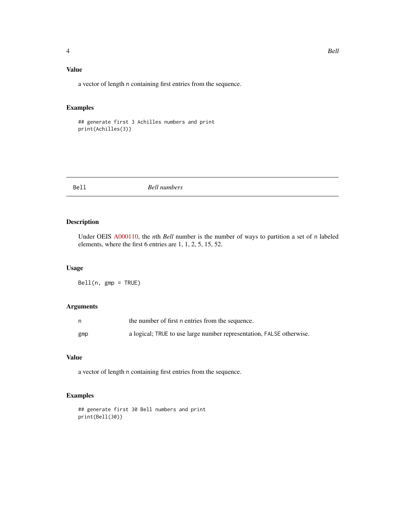## <span id="page-3-0"></span>Value

a vector of length n containing first entries from the sequence.

## Examples

```
## generate first 3 Achilles numbers and print
print(Achilles(3))
```
#### Bell *Bell numbers*

#### Description

Under OEIS [A000110,](https://oeis.org/A000110) the *n*th *Bell* number is the number of ways to partition a set of n labeled elements, where the first 6 entries are 1, 1, 2, 5, 15, 52.

#### Usage

Bell(n, gmp = TRUE)

#### Arguments

| n   | the number of first n entries from the sequence.                     |
|-----|----------------------------------------------------------------------|
| gmp | a logical; TRUE to use large number representation, FALSE otherwise. |

## Value

a vector of length n containing first entries from the sequence.

```
## generate first 30 Bell numbers and print
print(Bell(30))
```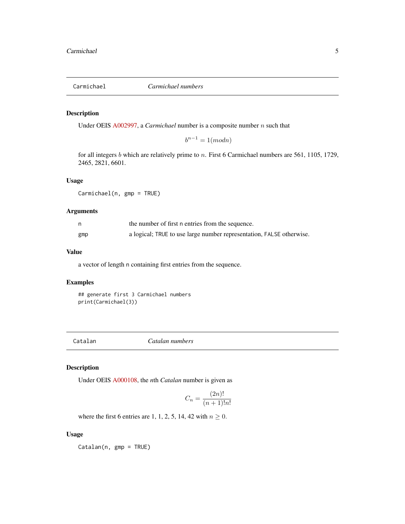<span id="page-4-0"></span>

Under OEIS [A002997,](https://oeis.org/A002997) a *Carmichael* number is a composite number n such that

 $b^{n-1} = 1 \pmod{n}$ 

for all integers b which are relatively prime to n. First 6 Carmichael numbers are 561, 1105, 1729, 2465, 2821, 6601.

#### Usage

Carmichael(n, gmp = TRUE)

## Arguments

|     | the number of first n entries from the sequence.                     |
|-----|----------------------------------------------------------------------|
| gmp | a logical; TRUE to use large number representation, FALSE otherwise. |

## Value

a vector of length n containing first entries from the sequence.

#### Examples

## generate first 3 Carmichael numbers print(Carmichael(3))

Catalan *Catalan numbers*

## Description

Under OEIS [A000108,](https://oeis.org/A000108) the *n*th *Catalan* number is given as

$$
C_n = \frac{(2n)!}{(n+1)!n!}
$$

where the first 6 entries are 1, 1, 2, 5, 14, 42 with  $n \geq 0$ .

#### Usage

Catalan(n, gmp = TRUE)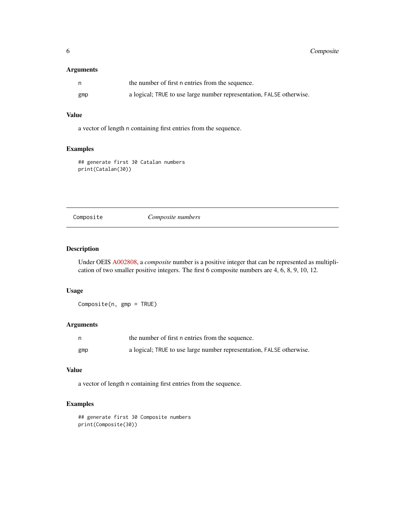<span id="page-5-0"></span>

|     | the number of first n entries from the sequence.                     |
|-----|----------------------------------------------------------------------|
| gmp | a logical; TRUE to use large number representation, FALSE otherwise. |

## Value

a vector of length n containing first entries from the sequence.

## Examples

## generate first 30 Catalan numbers print(Catalan(30))

Composite *Composite numbers*

## Description

Under OEIS [A002808,](https://oeis.org/A005100) a *composite* number is a positive integer that can be represented as multiplication of two smaller positive integers. The first 6 composite numbers are 4, 6, 8, 9, 10, 12.

## Usage

Composite(n, gmp = TRUE)

## Arguments

|     | the number of first n entries from the sequence.                     |
|-----|----------------------------------------------------------------------|
| gmp | a logical; TRUE to use large number representation, FALSE otherwise. |

#### Value

a vector of length n containing first entries from the sequence.

```
## generate first 30 Composite numbers
print(Composite(30))
```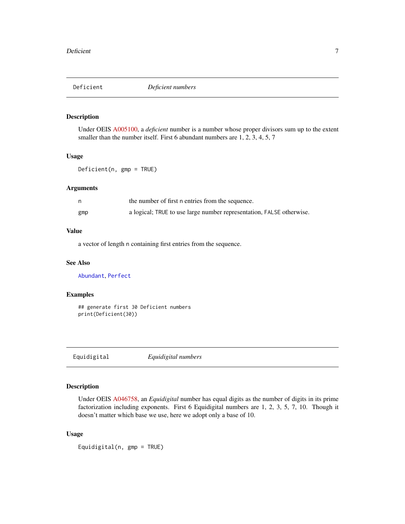<span id="page-6-1"></span><span id="page-6-0"></span>

Under OEIS [A005100,](https://oeis.org/A005100) a *deficient* number is a number whose proper divisors sum up to the extent smaller than the number itself. First 6 abundant numbers are 1, 2, 3, 4, 5, 7

## Usage

Deficient(n, gmp = TRUE)

#### Arguments

|     | the number of first n entries from the sequence.                     |
|-----|----------------------------------------------------------------------|
| gmp | a logical; TRUE to use large number representation, FALSE otherwise. |

## Value

a vector of length n containing first entries from the sequence.

#### See Also

[Abundant](#page-2-1), [Perfect](#page-18-1)

## Examples

## generate first 30 Deficient numbers print(Deficient(30))

<span id="page-6-2"></span>Equidigital *Equidigital numbers*

## Description

Under OEIS [A046758,](https://oeis.org/A046758) an *Equidigital* number has equal digits as the number of digits in its prime factorization including exponents. First 6 Equidigital numbers are 1, 2, 3, 5, 7, 10. Though it doesn't matter which base we use, here we adopt only a base of 10.

## Usage

Equidigital(n, gmp = TRUE)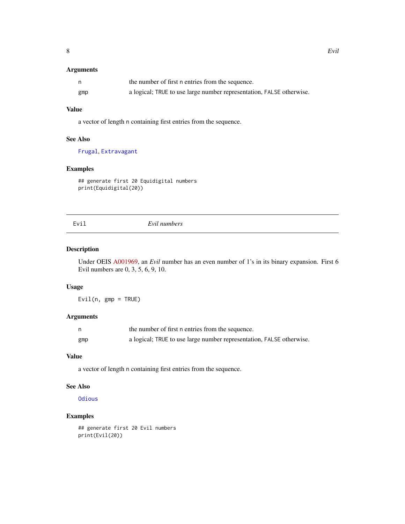<span id="page-7-0"></span>

| n,  | the number of first n entries from the sequence.                     |
|-----|----------------------------------------------------------------------|
| gmp | a logical; TRUE to use large number representation, FALSE otherwise. |

## Value

a vector of length n containing first entries from the sequence.

## See Also

[Frugal](#page-11-1), [Extravagant](#page-8-1)

## Examples

## generate first 20 Equidigital numbers print(Equidigital(20))

<span id="page-7-1"></span>

| × |  |
|---|--|

#### Evil *Evil numbers*

#### Description

Under OEIS [A001969,](https://oeis.org/A001969) an *Evil* number has an even number of 1's in its binary expansion. First 6 Evil numbers are 0, 3, 5, 6, 9, 10.

## Usage

 $Evil(n, gmp = TRUE)$ 

## Arguments

| n   | the number of first n entries from the sequence.                     |
|-----|----------------------------------------------------------------------|
| gmp | a logical; TRUE to use large number representation, FALSE otherwise. |

#### Value

a vector of length n containing first entries from the sequence.

## See Also

**[Odious](#page-16-1)** 

```
## generate first 20 Evil numbers
print(Evil(20))
```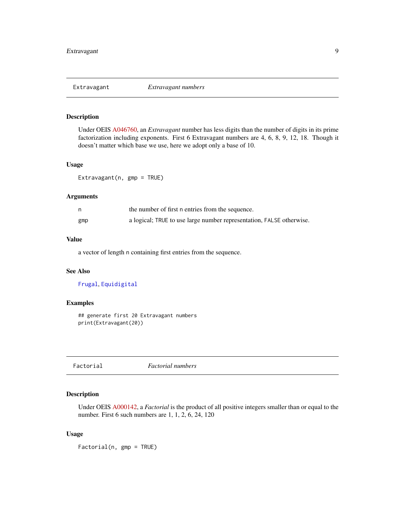<span id="page-8-1"></span><span id="page-8-0"></span>

Under OEIS [A046760,](https://oeis.org/A046760) an *Extravagant* number has less digits than the number of digits in its prime factorization including exponents. First 6 Extravagant numbers are 4, 6, 8, 9, 12, 18. Though it doesn't matter which base we use, here we adopt only a base of 10.

## Usage

Extravagant(n, gmp = TRUE)

## Arguments

|     | the number of first n entries from the sequence.                     |
|-----|----------------------------------------------------------------------|
| gmp | a logical; TRUE to use large number representation, FALSE otherwise. |

## Value

a vector of length n containing first entries from the sequence.

## See Also

[Frugal](#page-11-1), [Equidigital](#page-6-2)

## Examples

## generate first 20 Extravagant numbers print(Extravagant(20))

<span id="page-8-2"></span>Factorial *Factorial numbers*

## Description

Under OEIS [A000142,](https://oeis.org/A000142) a *Factorial* is the product of all positive integers smaller than or equal to the number. First 6 such numbers are 1, 1, 2, 6, 24, 120

## Usage

Factorial(n, gmp = TRUE)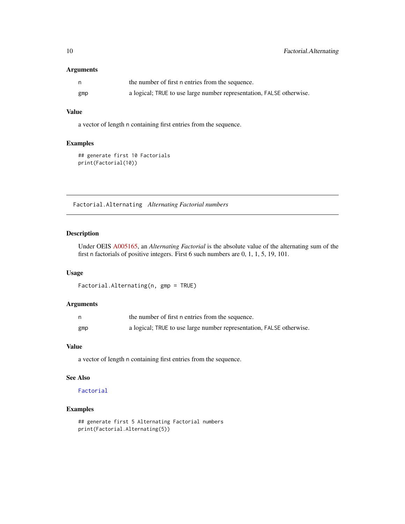<span id="page-9-0"></span>

|     | the number of first n entries from the sequence.                     |
|-----|----------------------------------------------------------------------|
| gmp | a logical; TRUE to use large number representation, FALSE otherwise. |

#### Value

a vector of length n containing first entries from the sequence.

#### Examples

## generate first 10 Factorials print(Factorial(10))

Factorial.Alternating *Alternating Factorial numbers*

## Description

Under OEIS [A005165,](https://oeis.org/A005165) an *Alternating Factorial* is the absolute value of the alternating sum of the first n factorials of positive integers. First 6 such numbers are 0, 1, 1, 5, 19, 101.

## Usage

Factorial.Alternating(n, gmp = TRUE)

## Arguments

|     | the number of first n entries from the sequence.                     |
|-----|----------------------------------------------------------------------|
| gmp | a logical; TRUE to use large number representation, FALSE otherwise. |

#### Value

a vector of length n containing first entries from the sequence.

#### See Also

#### [Factorial](#page-8-2)

```
## generate first 5 Alternating Factorial numbers
print(Factorial.Alternating(5))
```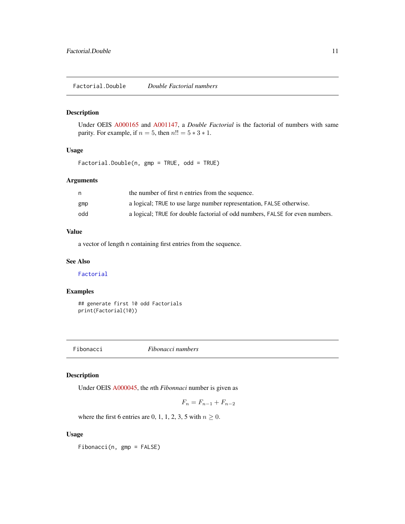<span id="page-10-0"></span>Under OEIS [A000165](https://oeis.org/A000165) and [A001147,](https://oeis.org/A001147) a *Double Factorial* is the factorial of numbers with same parity. For example, if  $n = 5$ , then  $n!! = 5 * 3 * 1$ .

## Usage

Factorial.Double(n, gmp = TRUE, odd = TRUE)

#### Arguments

|     | the number of first n entries from the sequence.                             |
|-----|------------------------------------------------------------------------------|
| gmp | a logical; TRUE to use large number representation, FALSE otherwise.         |
| odd | a logical; TRUE for double factorial of odd numbers, FALSE for even numbers. |

## Value

a vector of length n containing first entries from the sequence.

## See Also

[Factorial](#page-8-2)

## Examples

```
## generate first 10 odd Factorials
print(Factorial(10))
```
<span id="page-10-1"></span>Fibonacci *Fibonacci numbers*

## Description

Under OEIS [A000045,](https://oeis.org/A000045) the *n*th *Fibonnaci* number is given as

$$
F_n = F_{n-1} + F_{n-2}
$$

where the first 6 entries are 0, 1, 1, 2, 3, 5 with  $n \geq 0$ .

#### Usage

Fibonacci(n, gmp = FALSE)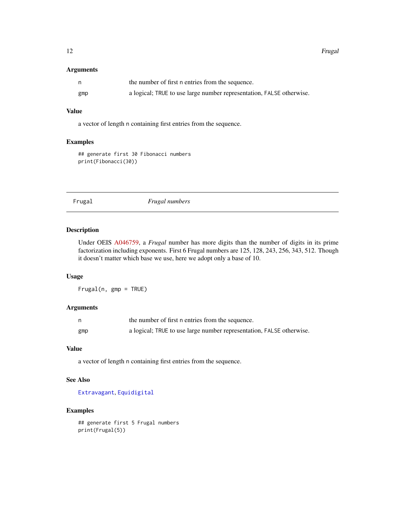<span id="page-11-0"></span>

|     | the number of first n entries from the sequence.                     |
|-----|----------------------------------------------------------------------|
| gmp | a logical; TRUE to use large number representation, FALSE otherwise. |

## Value

a vector of length n containing first entries from the sequence.

## Examples

## generate first 30 Fibonacci numbers print(Fibonacci(30))

<span id="page-11-1"></span>Frugal *Frugal numbers*

#### Description

Under OEIS [A046759,](https://oeis.org/A046759) a *Frugal* number has more digits than the number of digits in its prime factorization including exponents. First 6 Frugal numbers are 125, 128, 243, 256, 343, 512. Though it doesn't matter which base we use, here we adopt only a base of 10.

## Usage

Frugal(n, gmp = TRUE)

#### Arguments

|     | the number of first n entries from the sequence.                     |
|-----|----------------------------------------------------------------------|
| gmp | a logical; TRUE to use large number representation, FALSE otherwise. |

## Value

a vector of length n containing first entries from the sequence.

#### See Also

[Extravagant](#page-8-1), [Equidigital](#page-6-2)

## Examples

## generate first 5 Frugal numbers print(Frugal(5))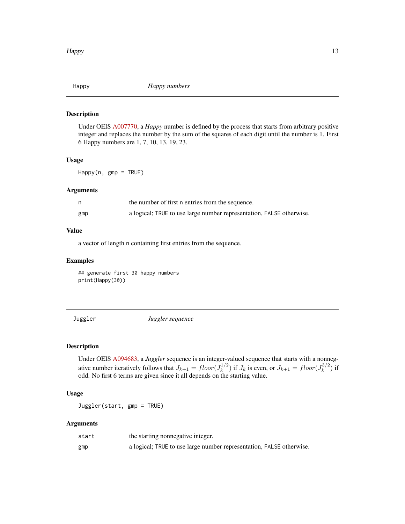<span id="page-12-0"></span>

Under OEIS [A007770,](https://oeis.org/A007770) a *Happy* number is defined by the process that starts from arbitrary positive integer and replaces the number by the sum of the squares of each digit until the number is 1. First 6 Happy numbers are 1, 7, 10, 13, 19, 23.

## Usage

Happy(n, gmp = TRUE)

#### Arguments

|     | the number of first n entries from the sequence.                     |
|-----|----------------------------------------------------------------------|
| gmp | a logical; TRUE to use large number representation, FALSE otherwise. |

#### Value

a vector of length n containing first entries from the sequence.

#### Examples

## generate first 30 happy numbers print(Happy(30))

<span id="page-12-1"></span>Juggler *Juggler sequence*

#### Description

Under OEIS [A094683,](https://oeis.org/A094683) a *Juggler* sequence is an integer-valued sequence that starts with a nonnegative number iteratively follows that  $J_{k+1} = floor(J_k^{1/2})$  $(k_k^{1/2})$  if  $J_k$  is even, or  $J_{k+1} = floor(J_k^{3/2})$  $\binom{5}{k}$  if odd. No first 6 terms are given since it all depends on the starting value.

## Usage

Juggler(start, gmp = TRUE)

| start | the starting nonnegative integer.                                    |
|-------|----------------------------------------------------------------------|
| gmp   | a logical; TRUE to use large number representation, FALSE otherwise. |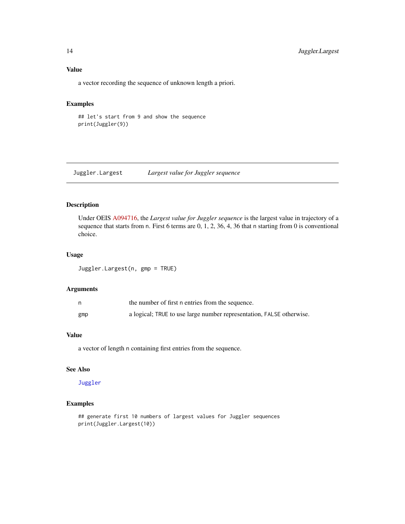<span id="page-13-0"></span>a vector recording the sequence of unknown length a priori.

## Examples

```
## let's start from 9 and show the sequence
print(Juggler(9))
```
Juggler.Largest *Largest value for Juggler sequence*

#### Description

Under OEIS [A094716,](https://oeis.org/A094716) the *Largest value for Juggler sequence* is the largest value in trajectory of a sequence that starts from n. First 6 terms are 0, 1, 2, 36, 4, 36 that n starting from 0 is conventional choice.

## Usage

Juggler.Largest(n, gmp = TRUE)

#### Arguments

|     | the number of first n entries from the sequence.                     |
|-----|----------------------------------------------------------------------|
| gmp | a logical; TRUE to use large number representation, FALSE otherwise. |

## Value

a vector of length n containing first entries from the sequence.

## See Also

## [Juggler](#page-12-1)

```
## generate first 10 numbers of largest values for Juggler sequences
print(Juggler.Largest(10))
```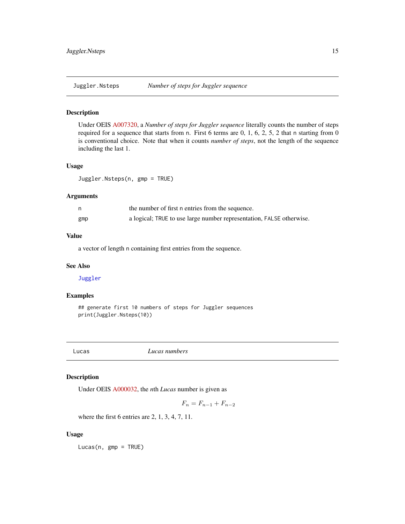<span id="page-14-0"></span>

Under OEIS [A007320,](https://oeis.org/A007320) a *Number of steps for Juggler sequence* literally counts the number of steps required for a sequence that starts from n. First 6 terms are  $0, 1, 6, 2, 5, 2$  that n starting from 0 is conventional choice. Note that when it counts *number of steps*, not the length of the sequence including the last 1.

#### Usage

Juggler.Nsteps(n, gmp = TRUE)

#### Arguments

|     | the number of first n entries from the sequence.                     |
|-----|----------------------------------------------------------------------|
| gmp | a logical; TRUE to use large number representation, FALSE otherwise. |

#### Value

a vector of length n containing first entries from the sequence.

#### See Also

[Juggler](#page-12-1)

## Examples

```
## generate first 10 numbers of steps for Juggler sequences
print(Juggler.Nsteps(10))
```
Lucas *Lucas numbers*

#### Description

Under OEIS [A000032,](https://oeis.org/A000032) the *n*th *Lucas* number is given as

$$
F_n = F_{n-1} + F_{n-2}
$$

where the first 6 entries are 2, 1, 3, 4, 7, 11.

#### Usage

Lucas(n, gmp = TRUE)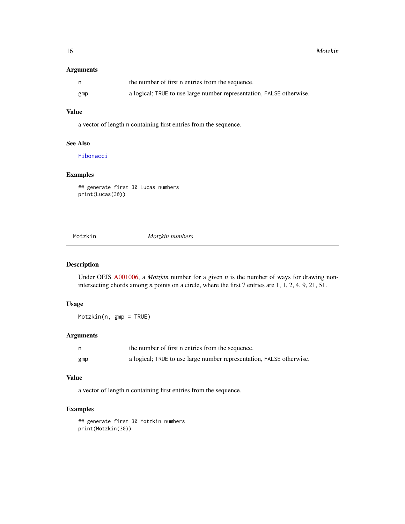<span id="page-15-0"></span>

|     | the number of first n entries from the sequence.                     |
|-----|----------------------------------------------------------------------|
| gmp | a logical; TRUE to use large number representation, FALSE otherwise. |

#### Value

a vector of length n containing first entries from the sequence.

#### See Also

[Fibonacci](#page-10-1)

## Examples

## generate first 30 Lucas numbers print(Lucas(30))

Motzkin *Motzkin numbers*

## Description

Under OEIS [A001006,](https://oeis.org/A001006) a *Motzkin* number for a given *n* is the number of ways for drawing nonintersecting chords among *n* points on a circle, where the first 7 entries are 1, 1, 2, 4, 9, 21, 51.

#### Usage

Motzkin(n, gmp = TRUE)

#### Arguments

| n,  | the number of first n entries from the sequence.                     |
|-----|----------------------------------------------------------------------|
| gmp | a logical; TRUE to use large number representation, FALSE otherwise. |

#### Value

a vector of length n containing first entries from the sequence.

## Examples

## generate first 30 Motzkin numbers print(Motzkin(30))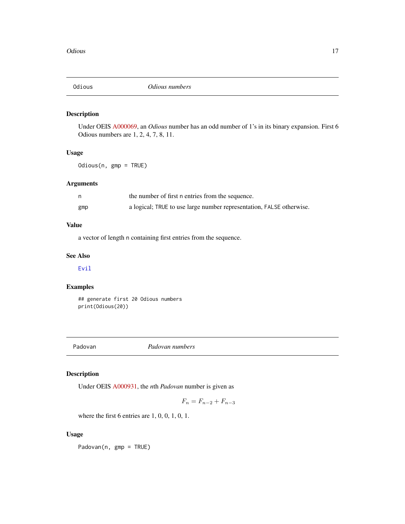<span id="page-16-1"></span><span id="page-16-0"></span>

Under OEIS [A000069,](https://oeis.org/A000069) an *Odious* number has an odd number of 1's in its binary expansion. First 6 Odious numbers are 1, 2, 4, 7, 8, 11.

## Usage

Odious(n, gmp = TRUE)

## Arguments

|     | the number of first n entries from the sequence.                     |
|-----|----------------------------------------------------------------------|
| gmp | a logical; TRUE to use large number representation, FALSE otherwise. |

## Value

a vector of length n containing first entries from the sequence.

## See Also

[Evil](#page-7-1)

## Examples

## generate first 20 Odious numbers print(Odious(20))

Padovan *Padovan numbers*

## Description

Under OEIS [A000931,](https://oeis.org/A000931) the *n*th *Padovan* number is given as

$$
F_n = F_{n-2} + F_{n-3}
$$

where the first 6 entries are 1, 0, 0, 1, 0, 1.

## Usage

Padovan(n, gmp = TRUE)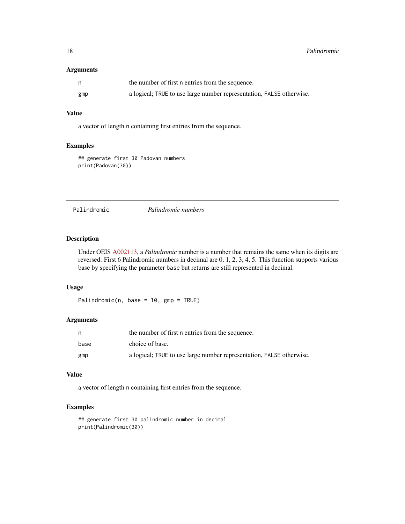<span id="page-17-0"></span>

|     | the number of first n entries from the sequence.                     |
|-----|----------------------------------------------------------------------|
| gmp | a logical; TRUE to use large number representation, FALSE otherwise. |

## Value

a vector of length n containing first entries from the sequence.

## Examples

## generate first 30 Padovan numbers print(Padovan(30))

|  | Palindromic |
|--|-------------|

Palindromic *Palindromic numbers*

#### Description

Under OEIS [A002113,](https://oeis.org/A002113) a *Palindromic* number is a number that remains the same when its digits are reversed. First 6 Palindromic numbers in decimal are 0, 1, 2, 3, 4, 5. This function supports various base by specifying the parameter base but returns are still represented in decimal.

## Usage

Palindromic(n, base =  $10$ , gmp = TRUE)

#### Arguments

| n    | the number of first n entries from the sequence.                     |
|------|----------------------------------------------------------------------|
| base | choice of base.                                                      |
| gmp  | a logical; TRUE to use large number representation, FALSE otherwise. |

## Value

a vector of length n containing first entries from the sequence.

```
## generate first 30 palindromic number in decimal
print(Palindromic(30))
```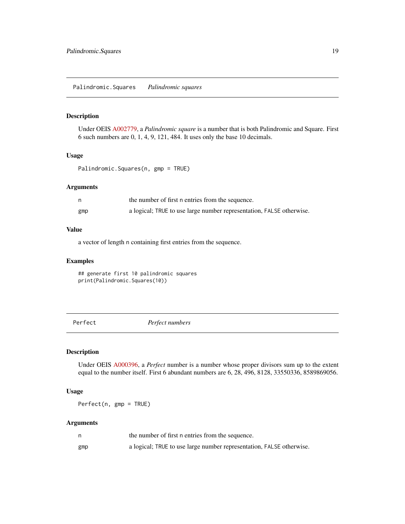<span id="page-18-0"></span>Under OEIS [A002779,](https://oeis.org/A002779) a *Palindromic square* is a number that is both Palindromic and Square. First 6 such numbers are 0, 1, 4, 9, 121, 484. It uses only the base 10 decimals.

#### Usage

Palindromic.Squares(n, gmp = TRUE)

#### Arguments

|     | the number of first n entries from the sequence.                     |
|-----|----------------------------------------------------------------------|
| gmp | a logical; TRUE to use large number representation, FALSE otherwise. |

## Value

a vector of length n containing first entries from the sequence.

#### Examples

## generate first 10 palindromic squares print(Palindromic.Squares(10))

<span id="page-18-1"></span>Perfect *Perfect numbers*

## Description

Under OEIS [A000396,](https://oeis.org/A000396) a *Perfect* number is a number whose proper divisors sum up to the extent equal to the number itself. First 6 abundant numbers are 6, 28, 496, 8128, 33550336, 8589869056.

#### Usage

Perfect(n, gmp = TRUE)

|     | the number of first n entries from the sequence.                     |
|-----|----------------------------------------------------------------------|
| gmp | a logical; TRUE to use large number representation, FALSE otherwise. |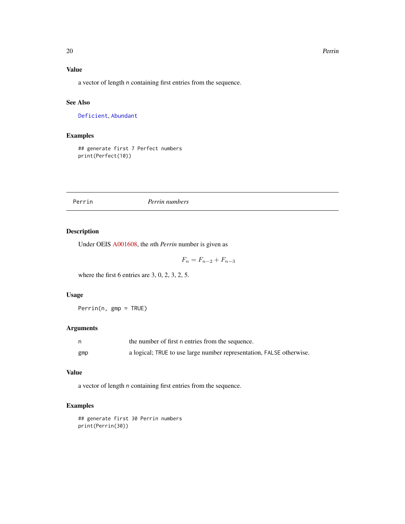#### 20 Perrin

## Value

a vector of length n containing first entries from the sequence.

## See Also

[Deficient](#page-6-1), [Abundant](#page-2-1)

### Examples

## generate first 7 Perfect numbers print(Perfect(10))

#### Perrin *Perrin numbers*

## Description

Under OEIS [A001608,](https://oeis.org/A001608) the *n*th *Perrin* number is given as

 $F_n = F_{n-2} + F_{n-3}$ 

where the first 6 entries are 3, 0, 2, 3, 2, 5.

## Usage

Perrin(n, gmp = TRUE)

#### Arguments

|     | the number of first n entries from the sequence.                     |
|-----|----------------------------------------------------------------------|
| gmp | a logical; TRUE to use large number representation, FALSE otherwise. |

#### Value

a vector of length n containing first entries from the sequence.

## Examples

## generate first 30 Perrin numbers print(Perrin(30))

<span id="page-19-0"></span>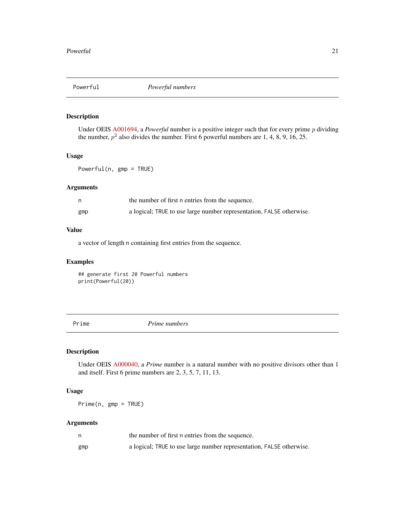<span id="page-20-0"></span>

Under OEIS [A001694,](https://oeis.org/A001694) a *Powerful* number is a positive integer such that for every prime p dividing the number,  $p^2$  also divides the number. First 6 powerful numbers are 1, 4, 8, 9, 16, 25.

## Usage

Powerful(n, gmp = TRUE)

#### Arguments

|     | the number of first n entries from the sequence.                     |
|-----|----------------------------------------------------------------------|
| gmp | a logical; TRUE to use large number representation, FALSE otherwise. |

## Value

a vector of length n containing first entries from the sequence.

## Examples

## generate first 20 Powerful numbers print(Powerful(20))

Prime *Prime numbers*

## Description

Under OEIS [A000040,](https://oeis.org/A000040) a *Prime* number is a natural number with no positive divisors other than 1 and itself. First 6 prime numbers are 2, 3, 5, 7, 11, 13.

#### Usage

Prime(n, gmp = TRUE)

|     | the number of first n entries from the sequence.                     |
|-----|----------------------------------------------------------------------|
| gmp | a logical; TRUE to use large number representation, FALSE otherwise. |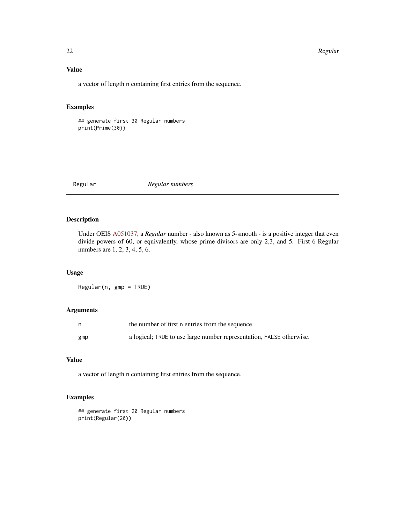#### 22 **Regular** Regular Regular Regular Regular Regular Regular Regular Regular Regular Regular

## Value

a vector of length n containing first entries from the sequence.

## Examples

## generate first 30 Regular numbers print(Prime(30))

#### Regular *Regular numbers*

## Description

Under OEIS [A051037,](https://oeis.org/A051037) a *Regular* number - also known as 5-smooth - is a positive integer that even divide powers of 60, or equivalently, whose prime divisors are only 2,3, and 5. First 6 Regular numbers are 1, 2, 3, 4, 5, 6.

## Usage

Regular(n, gmp = TRUE)

## Arguments

|     | the number of first n entries from the sequence.                     |
|-----|----------------------------------------------------------------------|
| gmp | a logical; TRUE to use large number representation, FALSE otherwise. |

## Value

a vector of length n containing first entries from the sequence.

```
## generate first 20 Regular numbers
print(Regular(20))
```
<span id="page-21-0"></span>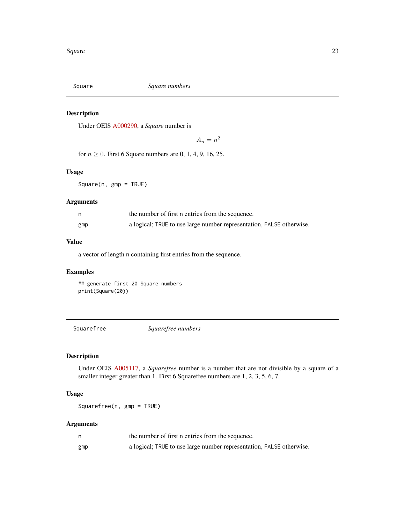<span id="page-22-0"></span>

Under OEIS [A000290,](https://oeis.org/A000290) a *Square* number is

 $A_n = n^2$ 

for  $n \geq 0$ . First 6 Square numbers are 0, 1, 4, 9, 16, 25.

## Usage

Square(n, gmp = TRUE)

## Arguments

|     | the number of first n entries from the sequence.                     |
|-----|----------------------------------------------------------------------|
| gmp | a logical; TRUE to use large number representation, FALSE otherwise. |

## Value

a vector of length n containing first entries from the sequence.

## Examples

## generate first 20 Square numbers print(Square(20))

Squarefree *Squarefree numbers*

## Description

Under OEIS [A005117,](https://oeis.org/A005117) a *Squarefree* number is a number that are not divisible by a square of a smaller integer greater than 1. First 6 Squarefree numbers are 1, 2, 3, 5, 6, 7.

## Usage

Squarefree(n, gmp = TRUE)

|     | the number of first n entries from the sequence.                     |
|-----|----------------------------------------------------------------------|
| gmp | a logical; TRUE to use large number representation, FALSE otherwise. |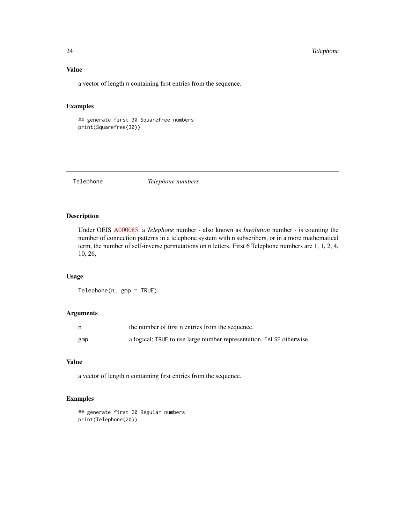## Value

a vector of length n containing first entries from the sequence.

## Examples

## generate first 30 Squarefree numbers print(Squarefree(30))

Telephone *Telephone numbers*

#### Description

Under OEIS [A000085,](https://oeis.org/A000085) a *Telephone* number - also known as *Involution* number - is counting the number of connection patterns in a telephone system with n subscribers, or in a more mathematical term, the number of self-inverse permutations on n letters. First 6 Telephone numbers are 1, 1, 2, 4, 10, 26,

## Usage

Telephone(n, gmp = TRUE)

## Arguments

|     | the number of first n entries from the sequence.                     |
|-----|----------------------------------------------------------------------|
| gmp | a logical; TRUE to use large number representation, FALSE otherwise. |

## Value

a vector of length n containing first entries from the sequence.

```
## generate first 20 Regular numbers
print(Telephone(20))
```
<span id="page-23-0"></span>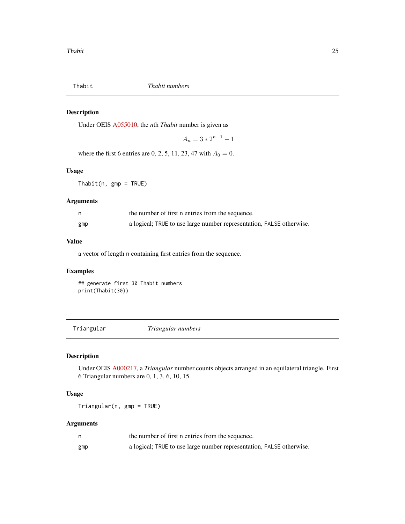<span id="page-24-0"></span>

Under OEIS [A055010,](https://oeis.org/A055010) the *n*th *Thabit* number is given as

 $A_n = 3 * 2^{n-1} - 1$ 

where the first 6 entries are 0, 2, 5, 11, 23, 47 with  $A_0 = 0$ .

## Usage

 $Thabit(n, gmp = TRUE)$ 

## Arguments

| n   | the number of first n entries from the sequence.                     |
|-----|----------------------------------------------------------------------|
| gmp | a logical; TRUE to use large number representation, FALSE otherwise. |

## Value

a vector of length n containing first entries from the sequence.

## Examples

## generate first 30 Thabit numbers print(Thabit(30))

Triangular *Triangular numbers*

## Description

Under OEIS [A000217,](https://oeis.org/A000217) a *Triangular* number counts objects arranged in an equilateral triangle. First 6 Triangular numbers are 0, 1, 3, 6, 10, 15.

## Usage

Triangular(n, gmp = TRUE)

|     | the number of first n entries from the sequence.                     |
|-----|----------------------------------------------------------------------|
| gmp | a logical; TRUE to use large number representation, FALSE otherwise. |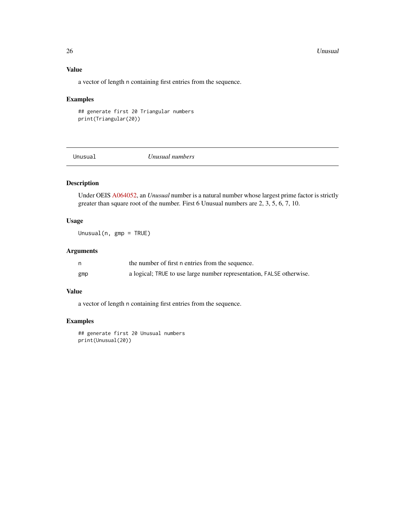#### <span id="page-25-0"></span>26 **Unusual**

## Value

a vector of length n containing first entries from the sequence.

#### Examples

## generate first 20 Triangular numbers print(Triangular(20))

Unusual *Unusual numbers*

## Description

Under OEIS [A064052,](https://oeis.org/A064052) an *Unusual* number is a natural number whose largest prime factor is strictly greater than square root of the number. First 6 Unusual numbers are 2, 3, 5, 6, 7, 10.

#### Usage

Unusual(n, gmp = TRUE)

## Arguments

| n   | the number of first n entries from the sequence.                     |
|-----|----------------------------------------------------------------------|
| gmp | a logical; TRUE to use large number representation, FALSE otherwise. |

## Value

a vector of length n containing first entries from the sequence.

## Examples

## generate first 20 Unusual numbers print(Unusual(20))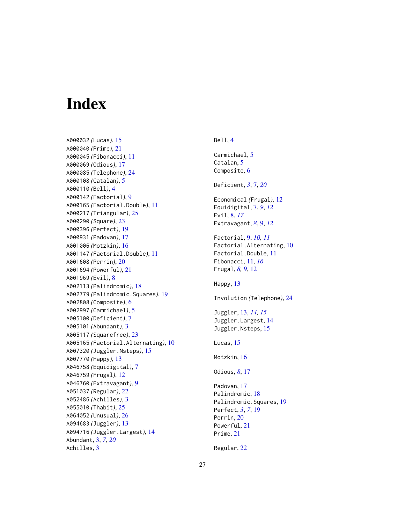# <span id="page-26-0"></span>Index

A000032 *(*Lucas*)*, [15](#page-14-0) A000040 *(*Prime*)*, [21](#page-20-0) A000045 *(*Fibonacci*)*, [11](#page-10-0) A000069 *(*Odious*)*, [17](#page-16-0) A000085 *(*Telephone*)*, [24](#page-23-0) A000108 *(*Catalan*)*, [5](#page-4-0) A000110 *(*Bell*)*, [4](#page-3-0) A000142 *(*Factorial*)*, [9](#page-8-0) A000165 *(*Factorial.Double*)*, [11](#page-10-0) A000217 *(*Triangular*)*, [25](#page-24-0) A000290 *(*Square*)*, [23](#page-22-0) A000396 *(*Perfect*)*, [19](#page-18-0) A000931 *(*Padovan*)*, [17](#page-16-0) A001006 *(*Motzkin*)*, [16](#page-15-0) A001147 *(*Factorial.Double*)*, [11](#page-10-0) A001608 *(*Perrin*)*, [20](#page-19-0) A001694 *(*Powerful*)*, [21](#page-20-0) A001969 *(*Evil*)*, [8](#page-7-0) A002113 *(*Palindromic*)*, [18](#page-17-0) A002779 *(*Palindromic.Squares*)*, [19](#page-18-0) A002808 *(*Composite*)*, [6](#page-5-0) A002997 *(*Carmichael*)*, [5](#page-4-0) A005100 *(*Deficient*)*, [7](#page-6-0) A005101 *(*Abundant*)*, [3](#page-2-0) A005117 *(*Squarefree*)*, [23](#page-22-0) A005165 *(*Factorial.Alternating*)*, [10](#page-9-0) A007320 *(*Juggler.Nsteps*)*, [15](#page-14-0) A007770 *(*Happy*)*, [13](#page-12-0) A046758 *(*Equidigital*)*, [7](#page-6-0) A046759 *(*Frugal*)*, [12](#page-11-0) A046760 *(*Extravagant*)*, [9](#page-8-0) A051037 *(*Regular*)*, [22](#page-21-0) A052486 *(*Achilles*)*, [3](#page-2-0) A055010 *(*Thabit*)*, [25](#page-24-0) A064052 *(*Unusual*)*, [26](#page-25-0) A094683 *(*Juggler*)*, [13](#page-12-0) A094716 *(*Juggler.Largest*)*, [14](#page-13-0) Abundant, [3,](#page-2-0) *[7](#page-6-0)*, *[20](#page-19-0)* Achilles, [3](#page-2-0)

## Bell, [4](#page-3-0) Carmichael, [5](#page-4-0) Catalan, [5](#page-4-0) Composite, [6](#page-5-0) Deficient, *[3](#page-2-0)*, [7,](#page-6-0) *[20](#page-19-0)* Economical *(*Frugal*)*, [12](#page-11-0) Equidigital, [7,](#page-6-0) *[9](#page-8-0)*, *[12](#page-11-0)* Evil, [8,](#page-7-0) *[17](#page-16-0)* Extravagant, *[8](#page-7-0)*, [9,](#page-8-0) *[12](#page-11-0)* Factorial, [9,](#page-8-0) *[10,](#page-9-0) [11](#page-10-0)* Factorial.Alternating, [10](#page-9-0) Factorial.Double, [11](#page-10-0) Fibonacci, [11,](#page-10-0) *[16](#page-15-0)* Frugal, *[8,](#page-7-0) [9](#page-8-0)*, [12](#page-11-0) Happy, [13](#page-12-0) Involution *(*Telephone*)*, [24](#page-23-0) Juggler, [13,](#page-12-0) *[14,](#page-13-0) [15](#page-14-0)* Juggler.Largest, [14](#page-13-0) Juggler.Nsteps, [15](#page-14-0) Lucas, [15](#page-14-0) Motzkin, [16](#page-15-0) Odious, *[8](#page-7-0)*, [17](#page-16-0) Padovan, [17](#page-16-0) Palindromic, [18](#page-17-0) Palindromic.Squares, [19](#page-18-0) Perfect, *[3](#page-2-0)*, *[7](#page-6-0)*, [19](#page-18-0) Perrin, [20](#page-19-0) Powerful, [21](#page-20-0) Prime, [21](#page-20-0) Regular, [22](#page-21-0)